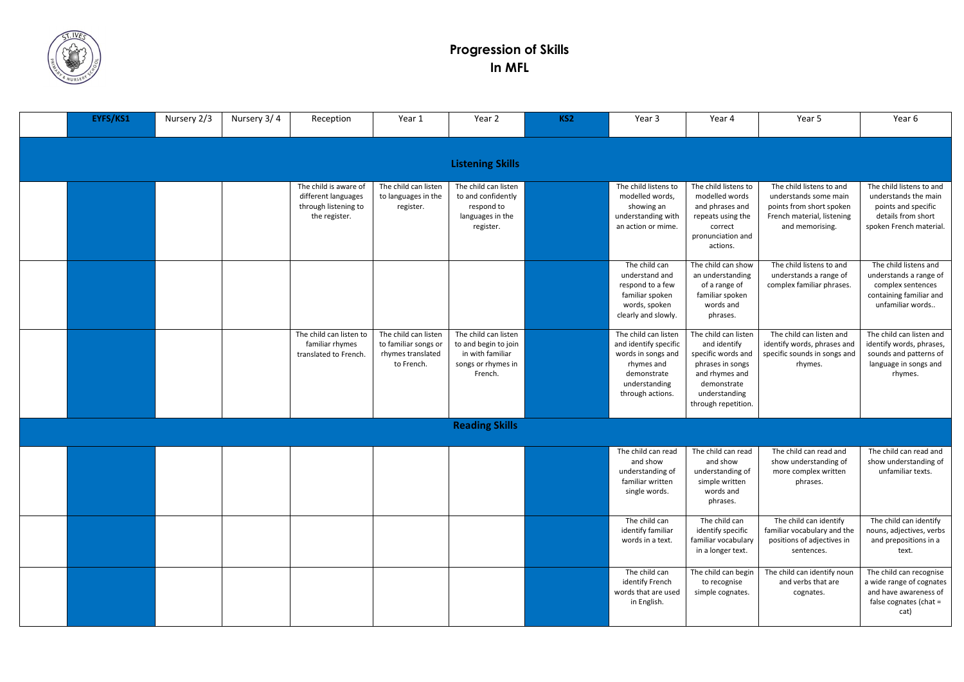

## **Progression of Skills In MFL**

| EYFS/KS1 | Nursery 2/3 | Nursery 3/4 | Reception                                                                             | Year 1                                                                          | Year 2                                                                                            | KS <sub>2</sub> | Year 3                                                                                                                                | Year 4                                                                                                                                                  | Year 5                                                                                                                         | Year 6                                                                                                                   |
|----------|-------------|-------------|---------------------------------------------------------------------------------------|---------------------------------------------------------------------------------|---------------------------------------------------------------------------------------------------|-----------------|---------------------------------------------------------------------------------------------------------------------------------------|---------------------------------------------------------------------------------------------------------------------------------------------------------|--------------------------------------------------------------------------------------------------------------------------------|--------------------------------------------------------------------------------------------------------------------------|
|          |             |             |                                                                                       |                                                                                 | <b>Listening Skills</b>                                                                           |                 |                                                                                                                                       |                                                                                                                                                         |                                                                                                                                |                                                                                                                          |
|          |             |             | The child is aware of<br>different languages<br>through listening to<br>the register. | The child can listen<br>to languages in the<br>register.                        | The child can listen<br>to and confidently<br>respond to<br>languages in the<br>register.         |                 | The child listens to<br>modelled words,<br>showing an<br>understanding with<br>an action or mime.                                     | The child listens to<br>modelled words<br>and phrases and<br>repeats using the<br>correct<br>pronunciation and<br>actions.                              | The child listens to and<br>understands some main<br>points from short spoken<br>French material, listening<br>and memorising. | The child listens to and<br>understands the main<br>points and specific<br>details from short<br>spoken French material. |
|          |             |             |                                                                                       |                                                                                 |                                                                                                   |                 | The child can<br>understand and<br>respond to a few<br>familiar spoken<br>words, spoken<br>clearly and slowly.                        | The child can show<br>an understanding<br>of a range of<br>familiar spoken<br>words and<br>phrases.                                                     | The child listens to and<br>understands a range of<br>complex familiar phrases.                                                | The child listens and<br>understands a range of<br>complex sentences<br>containing familiar and<br>unfamiliar words      |
|          |             |             | The child can listen to<br>familiar rhymes<br>translated to French.                   | The child can listen<br>to familiar songs or<br>rhymes translated<br>to French. | The child can listen<br>to and begin to join<br>in with familiar<br>songs or rhymes in<br>French. |                 | The child can listen<br>and identify specific<br>words in songs and<br>rhymes and<br>demonstrate<br>understanding<br>through actions. | The child can listen<br>and identify<br>specific words and<br>phrases in songs<br>and rhymes and<br>demonstrate<br>understanding<br>through repetition. | The child can listen and<br>identify words, phrases and<br>specific sounds in songs and<br>rhymes.                             | The child can listen and<br>identify words, phrases,<br>sounds and patterns of<br>language in songs and<br>rhymes.       |
|          |             |             |                                                                                       |                                                                                 | <b>Reading Skills</b>                                                                             |                 |                                                                                                                                       |                                                                                                                                                         |                                                                                                                                |                                                                                                                          |
|          |             |             |                                                                                       |                                                                                 |                                                                                                   |                 | The child can read<br>and show<br>understanding of $\vert$<br>familiar written<br>single words.                                       | The child can read<br>and show<br>understanding of<br>simple written<br>words and<br>phrases.                                                           | The child can read and<br>show understanding of<br>more complex written<br>phrases.                                            | The child can read and<br>show understanding of<br>unfamiliar texts.                                                     |
|          |             |             |                                                                                       |                                                                                 |                                                                                                   |                 | The child can<br>identify familiar<br>words in a text.                                                                                | The child can<br>identify specific<br>familiar vocabulary<br>in a longer text.                                                                          | The child can identify<br>familiar vocabulary and the<br>positions of adjectives in<br>sentences.                              | The child can identify<br>nouns, adjectives, verbs<br>and prepositions in a<br>text.                                     |
|          |             |             |                                                                                       |                                                                                 |                                                                                                   |                 | The child can<br>identify French<br>words that are used<br>in English.                                                                | The child can begin<br>to recognise<br>simple cognates.                                                                                                 | The child can identify noun<br>and verbs that are<br>cognates.                                                                 | The child can recognise<br>a wide range of cognates<br>and have awareness of<br>false cognates (chat =<br>cat)           |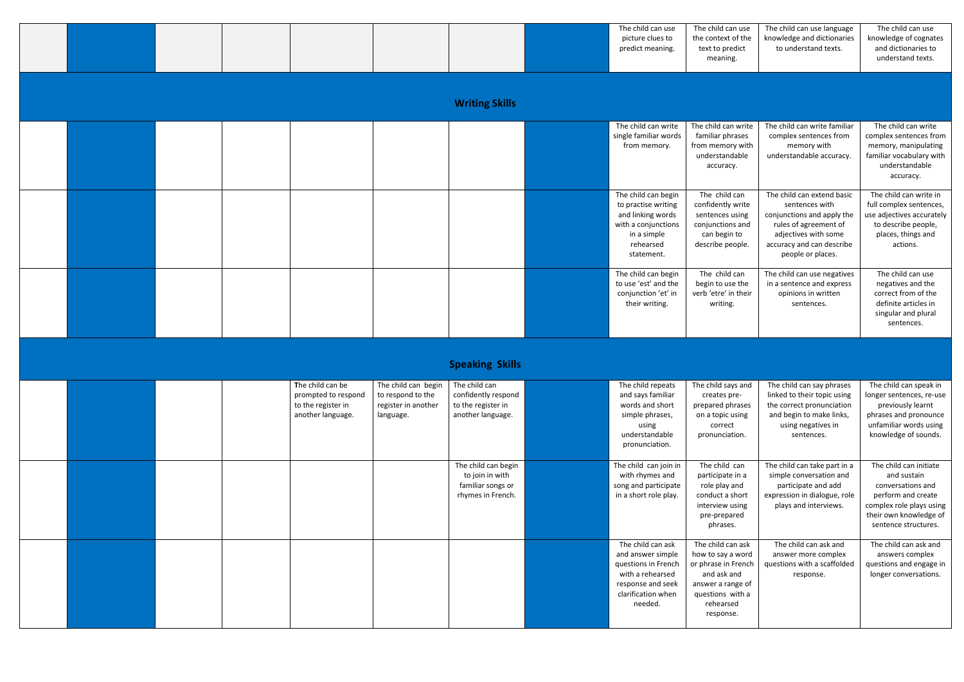|  |  |  |  | The child can use | The child c |
|--|--|--|--|-------------------|-------------|
|  |  |  |  | picture clues to  | the context |
|  |  |  |  | predict meaning.  | text to pr  |
|  |  |  |  |                   | meanir      |
|  |  |  |  |                   |             |

|  |  |                       | The child can use<br>picture clues to<br>predict meaning.                                                                        | The child can use<br>the context of the<br>text to predict<br>meaning.                                        | The child can use language<br>knowledge and dictionaries<br>to understand texts.                                                                                              | The child can use<br>knowledge of cognates<br>and dictionaries to<br>understand texts.                                                  |
|--|--|-----------------------|----------------------------------------------------------------------------------------------------------------------------------|---------------------------------------------------------------------------------------------------------------|-------------------------------------------------------------------------------------------------------------------------------------------------------------------------------|-----------------------------------------------------------------------------------------------------------------------------------------|
|  |  | <b>Writing Skills</b> |                                                                                                                                  |                                                                                                               |                                                                                                                                                                               |                                                                                                                                         |
|  |  |                       | The child can write<br>single familiar words<br>from memory.                                                                     | The child can write<br>familiar phrases<br>from memory with<br>understandable<br>accuracy.                    | The child can write familiar<br>complex sentences from<br>memory with<br>understandable accuracy.                                                                             | The child can write<br>complex sentences from<br>memory, manipulating<br>familiar vocabulary with<br>understandable<br>accuracy.        |
|  |  |                       | The child can begin<br>to practise writing<br>and linking words<br>with a conjunctions<br>in a simple<br>rehearsed<br>statement. | The child can<br>confidently write<br>sentences using<br>conjunctions and<br>can begin to<br>describe people. | The child can extend basic<br>sentences with<br>conjunctions and apply the<br>rules of agreement of<br>adjectives with some<br>accuracy and can describe<br>people or places. | The child can write in<br>full complex sentences,<br>use adjectives accurately<br>to describe people,<br>places, things and<br>actions. |
|  |  |                       | The child can begin<br>to use 'est' and the<br>conjunction 'et' in<br>their writing.                                             | The child can<br>begin to use the<br>verb 'etre' in their<br>writing.                                         | The child can use negatives<br>in a sentence and express<br>opinions in written<br>sentences.                                                                                 | The child can use<br>negatives and the<br>correct from of the<br>definite articles in<br>singular and plural<br>sentences.              |

## **Speaking Skills**

|  |  | The child can be<br>prompted to respond<br>to the register in<br>another language. | The child can begin<br>to respond to the<br>register in another<br>language. | The child can<br>confidently respond<br>to the register in<br>another language.  | The child repeats<br>and says familiar<br>words and short<br>simple phrases,<br>using<br>understandable<br>pronunciation.               | The child says and<br>creates pre-<br>prepared phrases<br>on a topic using<br>correct<br>pronunciation.                                         | The child can say phrases<br>linked to their topic using<br>the correct pronunciation<br>and begin to make links,<br>using negatives in<br>sentences. | The child can speak in<br>longer sentences, re-use<br>previously learnt<br>phrases and pronounce<br>unfamiliar words using<br>knowledge of sounds.             |
|--|--|------------------------------------------------------------------------------------|------------------------------------------------------------------------------|----------------------------------------------------------------------------------|-----------------------------------------------------------------------------------------------------------------------------------------|-------------------------------------------------------------------------------------------------------------------------------------------------|-------------------------------------------------------------------------------------------------------------------------------------------------------|----------------------------------------------------------------------------------------------------------------------------------------------------------------|
|  |  |                                                                                    |                                                                              | The child can begin<br>to join in with<br>familiar songs or<br>rhymes in French. | The child can join in<br>with rhymes and<br>song and participate<br>in a short role play.                                               | The child can<br>participate in a<br>role play and<br>conduct a short<br>interview using<br>pre-prepared<br>phrases.                            | The child can take part in a<br>simple conversation and<br>participate and add<br>expression in dialogue, role<br>plays and interviews.               | The child can initiate<br>and sustain<br>conversations and<br>perform and create<br>complex role plays using<br>their own knowledge of<br>sentence structures. |
|  |  |                                                                                    |                                                                              |                                                                                  | The child can ask<br>and answer simple<br>questions in French<br>with a rehearsed<br>response and seek<br>clarification when<br>needed. | The child can ask<br>how to say a word<br>or phrase in French<br>and ask and<br>answer a range of<br>questions with a<br>rehearsed<br>response. | The child can ask and<br>answer more complex<br>questions with a scaffolded<br>response.                                                              | The child can ask and<br>answers complex<br>questions and engage in<br>longer conversations.                                                                   |